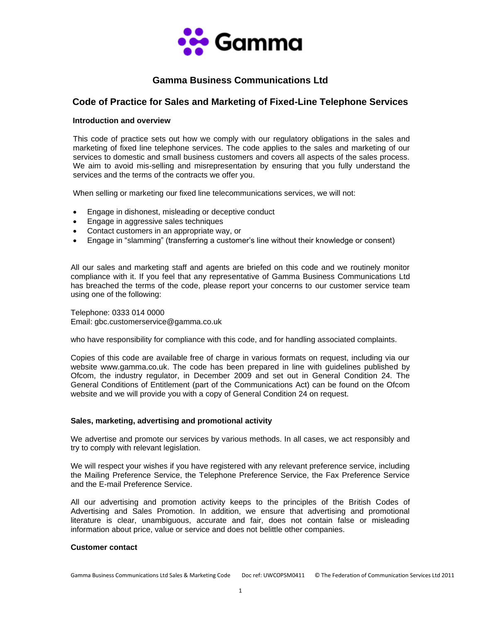

# **Gamma Business Communications Ltd**

## **Code of Practice for Sales and Marketing of Fixed-Line Telephone Services**

## **Introduction and overview**

This code of practice sets out how we comply with our regulatory obligations in the sales and marketing of fixed line telephone services. The code applies to the sales and marketing of our services to domestic and small business customers and covers all aspects of the sales process. We aim to avoid mis-selling and misrepresentation by ensuring that you fully understand the services and the terms of the contracts we offer you.

When selling or marketing our fixed line telecommunications services, we will not:

- Engage in dishonest, misleading or deceptive conduct
- Engage in aggressive sales techniques
- Contact customers in an appropriate way, or
- Engage in "slamming" (transferring a customer's line without their knowledge or consent)

All our sales and marketing staff and agents are briefed on this code and we routinely monitor compliance with it. If you feel that any representative of Gamma Business Communications Ltd has breached the terms of the code, please report your concerns to our customer service team using one of the following:

Telephone: 0333 014 0000 Email: gbc.customerservice@gamma.co.uk

who have responsibility for compliance with this code, and for handling associated complaints.

Copies of this code are available free of charge in various formats on request, including via our website www.gamma.co.uk. The code has been prepared in line with guidelines published by Ofcom, the industry regulator, in December 2009 and set out in General Condition 24. The General Conditions of Entitlement (part of the Communications Act) can be found on the Ofcom website and we will provide you with a copy of General Condition 24 on request.

### **Sales, marketing, advertising and promotional activity**

We advertise and promote our services by various methods. In all cases, we act responsibly and try to comply with relevant legislation.

We will respect your wishes if you have registered with any relevant preference service, including the Mailing Preference Service, the Telephone Preference Service, the Fax Preference Service and the E-mail Preference Service.

All our advertising and promotion activity keeps to the principles of the British Codes of Advertising and Sales Promotion. In addition, we ensure that advertising and promotional literature is clear, unambiguous, accurate and fair, does not contain false or misleading information about price, value or service and does not belittle other companies.

#### **Customer contact**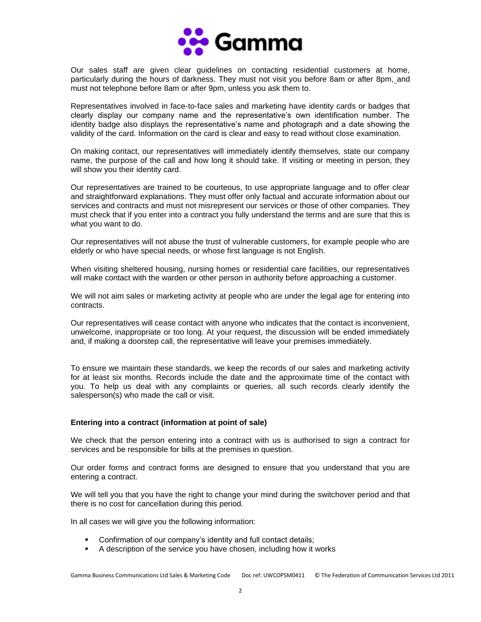

Our sales staff are given clear guidelines on contacting residential customers at home, particularly during the hours of darkness. They must not visit you before 8am or after 8pm, and must not telephone before 8am or after 9pm, unless you ask them to.

Representatives involved in face-to-face sales and marketing have identity cards or badges that clearly display our company name and the representative's own identification number. The identity badge also displays the representative's name and photograph and a date showing the validity of the card. Information on the card is clear and easy to read without close examination.

On making contact, our representatives will immediately identify themselves, state our company name, the purpose of the call and how long it should take. If visiting or meeting in person, they will show you their identity card.

Our representatives are trained to be courteous, to use appropriate language and to offer clear and straightforward explanations. They must offer only factual and accurate information about our services and contracts and must not misrepresent our services or those of other companies. They must check that if you enter into a contract you fully understand the terms and are sure that this is what you want to do.

Our representatives will not abuse the trust of vulnerable customers, for example people who are elderly or who have special needs, or whose first language is not English.

When visiting sheltered housing, nursing homes or residential care facilities, our representatives will make contact with the warden or other person in authority before approaching a customer.

We will not aim sales or marketing activity at people who are under the legal age for entering into contracts.

Our representatives will cease contact with anyone who indicates that the contact is inconvenient, unwelcome, inappropriate or too long. At your request, the discussion will be ended immediately and, if making a doorstep call, the representative will leave your premises immediately.

To ensure we maintain these standards, we keep the records of our sales and marketing activity for at least six months. Records include the date and the approximate time of the contact with you. To help us deal with any complaints or queries, all such records clearly identify the salesperson(s) who made the call or visit.

#### **Entering into a contract (information at point of sale)**

We check that the person entering into a contract with us is authorised to sign a contract for services and be responsible for bills at the premises in question.

Our order forms and contract forms are designed to ensure that you understand that you are entering a contract.

We will tell you that you have the right to change your mind during the switchover period and that there is no cost for cancellation during this period.

In all cases we will give you the following information:

- Confirmation of our company's identity and full contact details;
- A description of the service you have chosen, including how it works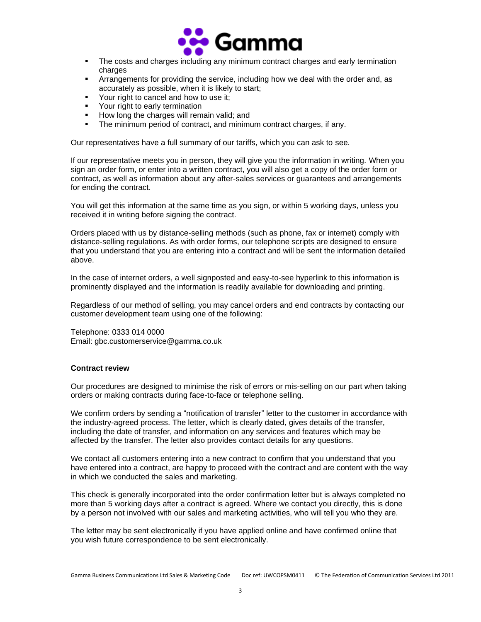

- **•** The costs and charges including any minimum contract charges and early termination charges
- **EXECT** Arrangements for providing the service, including how we deal with the order and, as accurately as possible, when it is likely to start;
- Your right to cancel and how to use it:
- **•** Your right to early termination
- How long the charges will remain valid; and
- **The minimum period of contract, and minimum contract charges, if any.**

Our representatives have a full summary of our tariffs, which you can ask to see.

If our representative meets you in person, they will give you the information in writing. When you sign an order form, or enter into a written contract, you will also get a copy of the order form or contract, as well as information about any after-sales services or guarantees and arrangements for ending the contract.

You will get this information at the same time as you sign, or within 5 working days, unless you received it in writing before signing the contract.

Orders placed with us by distance-selling methods (such as phone, fax or internet) comply with distance-selling regulations. As with order forms, our telephone scripts are designed to ensure that you understand that you are entering into a contract and will be sent the information detailed above.

In the case of internet orders, a well signposted and easy-to-see hyperlink to this information is prominently displayed and the information is readily available for downloading and printing.

Regardless of our method of selling, you may cancel orders and end contracts by contacting our customer development team using one of the following:

Telephone: 0333 014 0000 Email: gbc.customerservice@gamma.co.uk

#### **Contract review**

Our procedures are designed to minimise the risk of errors or mis-selling on our part when taking orders or making contracts during face-to-face or telephone selling.

We confirm orders by sending a "notification of transfer" letter to the customer in accordance with the industry-agreed process. The letter, which is clearly dated, gives details of the transfer, including the date of transfer, and information on any services and features which may be affected by the transfer. The letter also provides contact details for any questions.

We contact all customers entering into a new contract to confirm that you understand that you have entered into a contract, are happy to proceed with the contract and are content with the way in which we conducted the sales and marketing.

This check is generally incorporated into the order confirmation letter but is always completed no more than 5 working days after a contract is agreed. Where we contact you directly, this is done by a person not involved with our sales and marketing activities, who will tell you who they are.

The letter may be sent electronically if you have applied online and have confirmed online that you wish future correspondence to be sent electronically.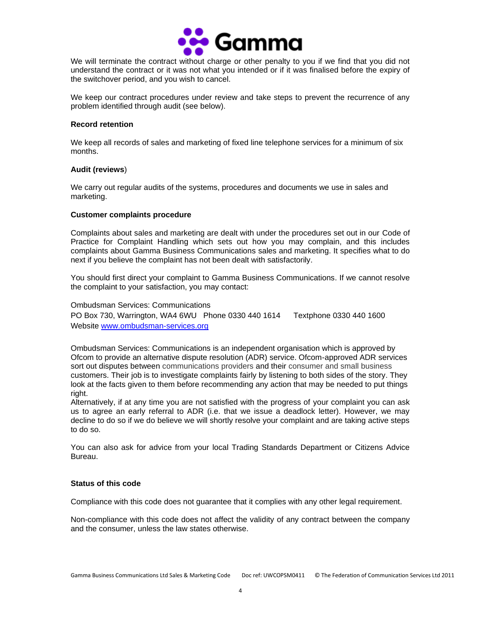

We will terminate the contract without charge or other penalty to you if we find that you did not understand the contract or it was not what you intended or if it was finalised before the expiry of the switchover period, and you wish to cancel.

We keep our contract procedures under review and take steps to prevent the recurrence of any problem identified through audit (see below).

#### **Record retention**

We keep all records of sales and marketing of fixed line telephone services for a minimum of six months.

#### **Audit (reviews**)

We carry out regular audits of the systems, procedures and documents we use in sales and marketing.

#### **Customer complaints procedure**

Complaints about sales and marketing are dealt with under the procedures set out in our Code of Practice for Complaint Handling which sets out how you may complain, and this includes complaints about Gamma Business Communications sales and marketing. It specifies what to do next if you believe the complaint has not been dealt with satisfactorily.

You should first direct your complaint to Gamma Business Communications. If we cannot resolve the complaint to your satisfaction, you may contact:

## Ombudsman Services: Communications PO Box 730, Warrington, WA4 6WU Phone 0330 440 1614 Textphone 0330 440 1600 Website [www.ombudsman-services.org](http://www.ombudsman-services.org/)

Ombudsman Services: Communications is an independent organisation which is approved by Ofcom to provide an alternative dispute resolution (ADR) service. Ofcom-approved ADR services sort out disputes between communications providers and their consumer and small business customers. Their job is to investigate complaints fairly by listening to both sides of the story. They look at the facts given to them before recommending any action that may be needed to put things right.

Alternatively, if at any time you are not satisfied with the progress of your complaint you can ask us to agree an early referral to ADR (i.e. that we issue a deadlock letter). However, we may decline to do so if we do believe we will shortly resolve your complaint and are taking active steps to do so.

You can also ask for advice from your local Trading Standards Department or Citizens Advice Bureau.

## **Status of this code**

Compliance with this code does not guarantee that it complies with any other legal requirement.

Non-compliance with this code does not affect the validity of any contract between the company and the consumer, unless the law states otherwise.